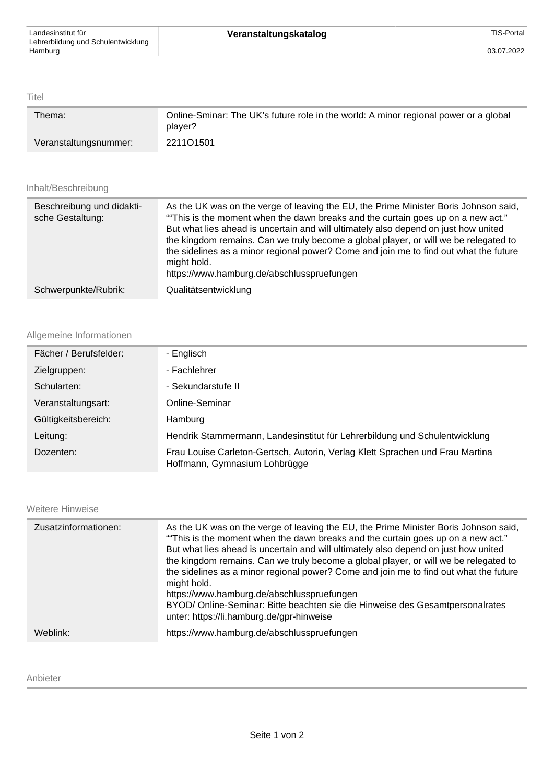Titel

| Thema:                | Online-Sminar: The UK's future role in the world: A minor regional power or a global<br>player? |
|-----------------------|-------------------------------------------------------------------------------------------------|
| Veranstaltungsnummer: | 221101501                                                                                       |

## Inhalt/Beschreibung

| Beschreibung und didakti-<br>sche Gestaltung: | As the UK was on the verge of leaving the EU, the Prime Minister Boris Johnson said,<br>"This is the moment when the dawn breaks and the curtain goes up on a new act."<br>But what lies ahead is uncertain and will ultimately also depend on just how united<br>the kingdom remains. Can we truly become a global player, or will we be relegated to<br>the sidelines as a minor regional power? Come and join me to find out what the future<br>might hold.<br>https://www.hamburg.de/abschlusspruefungen |
|-----------------------------------------------|--------------------------------------------------------------------------------------------------------------------------------------------------------------------------------------------------------------------------------------------------------------------------------------------------------------------------------------------------------------------------------------------------------------------------------------------------------------------------------------------------------------|
| Schwerpunkte/Rubrik:                          | Qualitätsentwicklung                                                                                                                                                                                                                                                                                                                                                                                                                                                                                         |

## Allgemeine Informationen

| Fächer / Berufsfelder: | - Englisch                                                                                                     |
|------------------------|----------------------------------------------------------------------------------------------------------------|
| Zielgruppen:           | - Fachlehrer                                                                                                   |
| Schularten:            | - Sekundarstufe II                                                                                             |
| Veranstaltungsart:     | Online-Seminar                                                                                                 |
| Gültigkeitsbereich:    | Hamburg                                                                                                        |
| Leitung:               | Hendrik Stammermann, Landesinstitut für Lehrerbildung und Schulentwicklung                                     |
| Dozenten:              | Frau Louise Carleton-Gertsch, Autorin, Verlag Klett Sprachen und Frau Martina<br>Hoffmann, Gymnasium Lohbrügge |

Weitere Hinweise

| Zusatzinformationen: | As the UK was on the verge of leaving the EU, the Prime Minister Boris Johnson said,<br>"This is the moment when the dawn breaks and the curtain goes up on a new act."<br>But what lies ahead is uncertain and will ultimately also depend on just how united<br>the kingdom remains. Can we truly become a global player, or will we be relegated to<br>the sidelines as a minor regional power? Come and join me to find out what the future<br>might hold.<br>https://www.hamburg.de/abschlusspruefungen<br>BYOD/ Online-Seminar: Bitte beachten sie die Hinweise des Gesamtpersonalrates<br>unter: https://li.hamburg.de/gpr-hinweise |
|----------------------|--------------------------------------------------------------------------------------------------------------------------------------------------------------------------------------------------------------------------------------------------------------------------------------------------------------------------------------------------------------------------------------------------------------------------------------------------------------------------------------------------------------------------------------------------------------------------------------------------------------------------------------------|
| Weblink:             | https://www.hamburg.de/abschlusspruefungen                                                                                                                                                                                                                                                                                                                                                                                                                                                                                                                                                                                                 |

## Anbieter